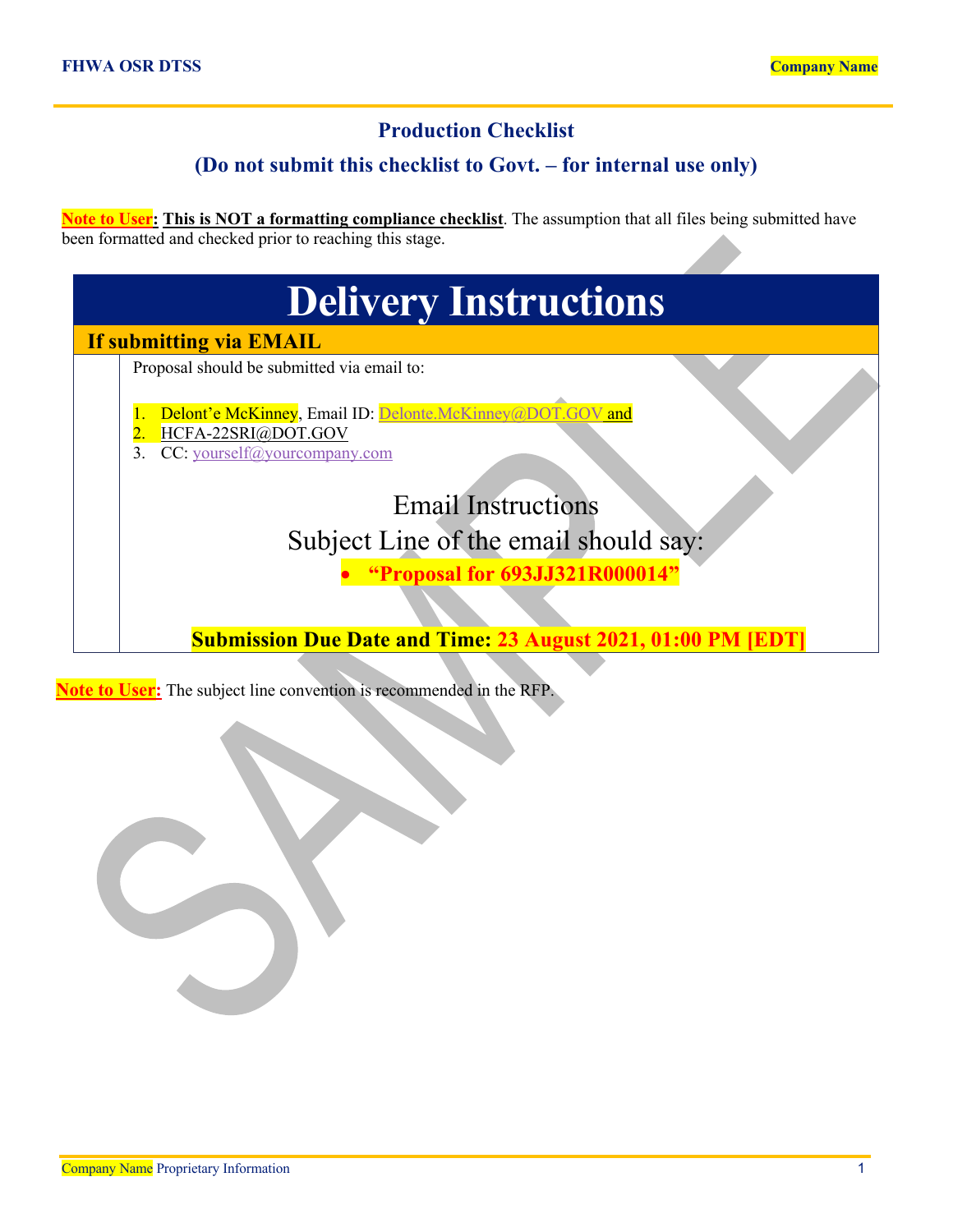## **Production Checklist**

## **(Do not submit this checklist to Govt. – for internal use only)**

**Note to User: This is NOT a formatting compliance checklist**. The assumption that all files being submitted have been formatted and checked prior to reaching this stage.

| <b>Delivery Instructions</b>                                                    |  |  |  |  |
|---------------------------------------------------------------------------------|--|--|--|--|
| If submitting via EMAIL                                                         |  |  |  |  |
| Proposal should be submitted via email to:                                      |  |  |  |  |
| Delont'e McKinney, Email ID: Delonte.McKinney@DOT.GOV and<br>HCFA-22SRI@DOT.GOV |  |  |  |  |
| CC: yourself@yourcompany.com                                                    |  |  |  |  |
| <b>Email Instructions</b>                                                       |  |  |  |  |
| Subject Line of the email should say:                                           |  |  |  |  |
| <b>Proposal for 693JJ321R000014"</b>                                            |  |  |  |  |
|                                                                                 |  |  |  |  |
| <b>Submission Due Date and Time: 23 August 2021, 01:00 PM [EDT]</b>             |  |  |  |  |
|                                                                                 |  |  |  |  |

**Note to User:** The subject line convention is recommended in the RFP.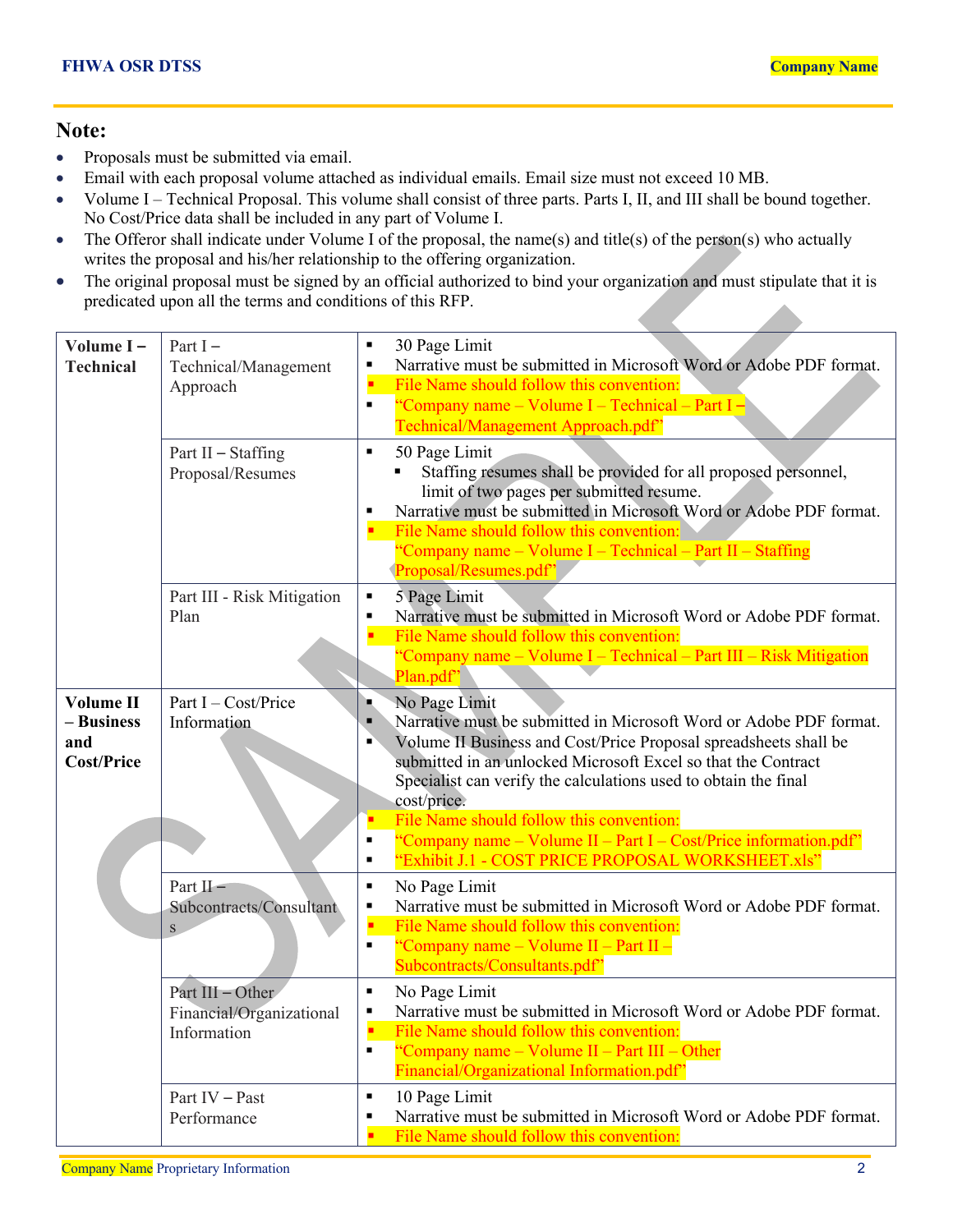## **Note:**

- Proposals must be submitted via email.
- Email with each proposal volume attached as individual emails. Email size must not exceed 10 MB.
- Volume I Technical Proposal. This volume shall consist of three parts. Parts I, II, and III shall be bound together. No Cost/Price data shall be included in any part of Volume I.
- The Offeror shall indicate under Volume I of the proposal, the name(s) and title(s) of the person(s) who actually writes the proposal and his/her relationship to the offering organization.
- The original proposal must be signed by an official authorized to bind your organization and must stipulate that it is predicated upon all the terms and conditions of this RFP.

| Volume I-<br><b>Technical</b>                              | Part $I -$<br>Technical/Management<br>Approach<br>Part II - Staffing<br>Proposal/Resumes | 30 Page Limit<br>$\blacksquare$<br>Narrative must be submitted in Microsoft Word or Adobe PDF format.<br>٠<br>File Name should follow this convention:<br>"Company name – Volume I – Technical – Part I –<br>$\blacksquare$<br>Technical/Management Approach.pdf"<br>50 Page Limit<br>$\blacksquare$<br>Staffing resumes shall be provided for all proposed personnel,<br>limit of two pages per submitted resume.<br>Narrative must be submitted in Microsoft Word or Adobe PDF format.<br>٠<br>File Name should follow this convention:<br>'Company name – Volume I – Technical – Part II – Staffing<br>Proposal/Resumes.pdf" |
|------------------------------------------------------------|------------------------------------------------------------------------------------------|---------------------------------------------------------------------------------------------------------------------------------------------------------------------------------------------------------------------------------------------------------------------------------------------------------------------------------------------------------------------------------------------------------------------------------------------------------------------------------------------------------------------------------------------------------------------------------------------------------------------------------|
|                                                            | Part III - Risk Mitigation<br>Plan                                                       | 5 Page Limit<br>$\blacksquare$<br>Narrative must be submitted in Microsoft Word or Adobe PDF format.<br>$\blacksquare$<br>File Name should follow this convention:<br>"Company name – Volume I – Technical – Part III – Risk Mitigation<br>Plan.pdf'                                                                                                                                                                                                                                                                                                                                                                            |
| <b>Volume II</b><br>- Business<br>and<br><b>Cost/Price</b> | Part I - Cost/Price<br>Information                                                       | No Page Limit<br>ш<br>Narrative must be submitted in Microsoft Word or Adobe PDF format.<br>$\blacksquare$<br>Volume II Business and Cost/Price Proposal spreadsheets shall be<br>п<br>submitted in an unlocked Microsoft Excel so that the Contract<br>Specialist can verify the calculations used to obtain the final<br>cost/price.<br>File Name should follow this convention:<br>"Company name – Volume II – Part I – Cost/Price information.pdf"<br>$\blacksquare$<br>"Exhibit J.1 - COST PRICE PROPOSAL WORKSHEET.xls"<br>$\blacksquare$                                                                                 |
|                                                            | Part $II -$<br>Subcontracts/Consultant<br>${\bf S}$                                      | No Page Limit<br>$\blacksquare$<br>Narrative must be submitted in Microsoft Word or Adobe PDF format.<br>٠<br>File Name should follow this convention:<br>"Company name – Volume II – Part II –<br>$\blacksquare$<br>Subcontracts/Consultants.pdf"                                                                                                                                                                                                                                                                                                                                                                              |
|                                                            | Part III - Other<br>Financial/Organizational<br>Information                              | $\blacksquare$<br>No Page Limit<br>Narrative must be submitted in Microsoft Word or Adobe PDF format.<br>٠<br>File Name should follow this convention:<br>"Company name – Volume II – Part III – Other<br>$\blacksquare$<br>Financial/Organizational Information.pdf"                                                                                                                                                                                                                                                                                                                                                           |
|                                                            | Part IV - Past<br>Performance                                                            | 10 Page Limit<br>$\blacksquare$<br>Narrative must be submitted in Microsoft Word or Adobe PDF format.<br>File Name should follow this convention:                                                                                                                                                                                                                                                                                                                                                                                                                                                                               |